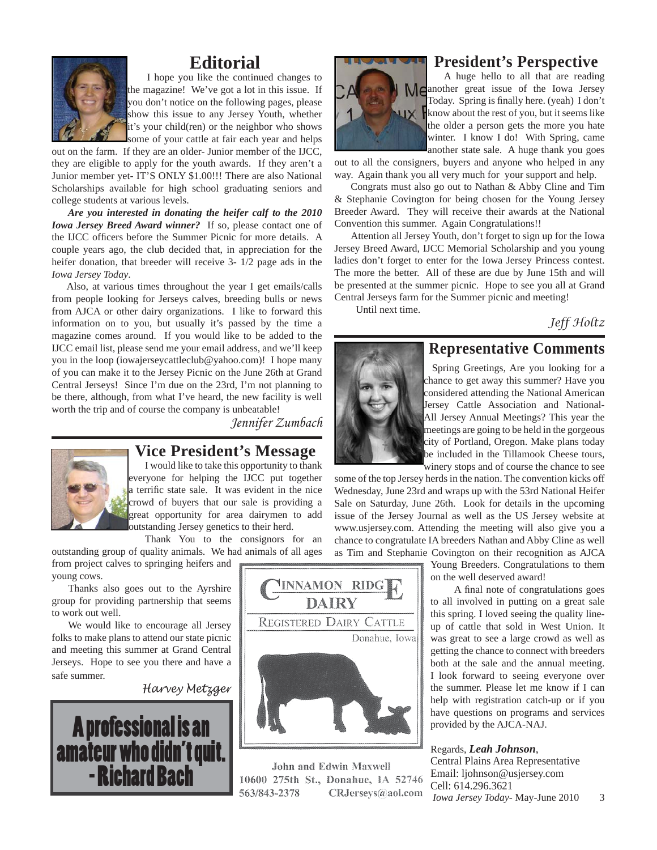

### **Editorial**

 I hope you like the continued changes to the magazine! We've got a lot in this issue. If you don't notice on the following pages, please show this issue to any Jersey Youth, whether it's your child(ren) or the neighbor who shows some of your cattle at fair each year and helps

out on the farm. If they are an older- Junior member of the IJCC, they are eligible to apply for the youth awards. If they aren't a Junior member yet- IT'S ONLY \$1.00!!! There are also National Scholarships available for high school graduating seniors and college students at various levels.

 *Are you interested in donating the heifer calf to the 2010 Iowa Jersey Breed Award winner?* If so, please contact one of the IJCC officers before the Summer Picnic for more details. A couple years ago, the club decided that, in appreciation for the heifer donation, that breeder will receive 3- 1/2 page ads in the *Iowa Jersey Today*.

 Also, at various times throughout the year I get emails/calls from people looking for Jerseys calves, breeding bulls or news from AJCA or other dairy organizations. I like to forward this information on to you, but usually it's passed by the time a magazine comes around. If you would like to be added to the IJCC email list, please send me your email address, and we'll keep you in the loop (iowajerseycattleclub@yahoo.com)! I hope many of you can make it to the Jersey Picnic on the June 26th at Grand Central Jerseys! Since I'm due on the 23rd, I'm not planning to be there, although, from what I've heard, the new facility is well worth the trip and of course the company is unbeatable!

*Jennifer Zumbach*



#### **Vice President's Message**

I would like to take this opportunity to thank everyone for helping the IJCC put together a terrific state sale. It was evident in the nice crowd of buyers that our sale is providing a great opportunity for area dairymen to add outstanding Jersey genetics to their herd.

Thank You to the consignors for an outstanding group of quality animals. We had animals of all ages

from project calves to springing heifers and young cows.

Thanks also goes out to the Ayrshire group for providing partnership that seems to work out well.

We would like to encourage all Jersey folks to make plans to attend our state picnic and meeting this summer at Grand Central Jerseys. Hope to see you there and have a safe summer.

*Harvey Metzger*





John and Edwin Maxwell 10600 275th St., Donahue, IA 52746 563/843-2378 CRJerseys@aol.com

# **President's Perspective**



#### A huge hello to all that are reading Meanother great issue of the Iowa Jersey Today. Spring is finally here. (yeah) I don't know about the rest of you, but it seems like the older a person gets the more you hate winter. I know I do! With Spring, came another state sale. A huge thank you goes

out to all the consigners, buyers and anyone who helped in any way. Again thank you all very much for your support and help.

Congrats must also go out to Nathan & Abby Cline and Tim & Stephanie Covington for being chosen for the Young Jersey Breeder Award. They will receive their awards at the National Convention this summer. Again Congratulations!!

Attention all Jersey Youth, don't forget to sign up for the Iowa Jersey Breed Award, IJCC Memorial Scholarship and you young ladies don't forget to enter for the Iowa Jersey Princess contest. The more the better. All of these are due by June 15th and will be presented at the summer picnic. Hope to see you all at Grand Central Jerseys farm for the Summer picnic and meeting!

Until next time.

*Jeff Holtz*



### **Representative Comments**

 Spring Greetings, Are you looking for a chance to get away this summer? Have you considered attending the National American Jersey Cattle Association and National-All Jersey Annual Meetings? This year the meetings are going to be held in the gorgeous city of Portland, Oregon. Make plans today be included in the Tillamook Cheese tours, winery stops and of course the chance to see

some of the top Jersey herds in the nation. The convention kicks off Wednesday, June 23rd and wraps up with the 53rd National Heifer Sale on Saturday, June 26th. Look for details in the upcoming issue of the Jersey Journal as well as the US Jersey website at www.usjersey.com. Attending the meeting will also give you a chance to congratulate IA breeders Nathan and Abby Cline as well as Tim and Stephanie Covington on their recognition as AJCA

Young Breeders. Congratulations to them on the well deserved award!

A final note of congratulations goes to all involved in putting on a great sale this spring. I loved seeing the quality lineup of cattle that sold in West Union. It was great to see a large crowd as well as getting the chance to connect with breeders both at the sale and the annual meeting. I look forward to seeing everyone over the summer. Please let me know if I can help with registration catch-up or if you have questions on programs and services provided by the AJCA-NAJ.

#### Regards, *Leah Johnson*,

*Iowa Jersey Today*- May-June 2010 3 Central Plains Area Representative Email: ljohnson@usjersey.com Cell: 614.296.3621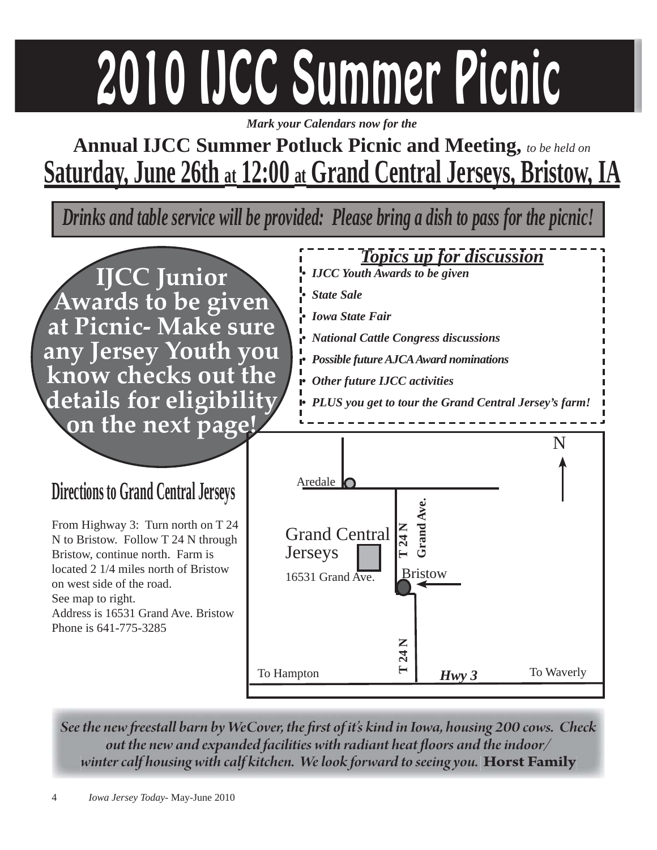# 2010 IJCC Summer Picnic

*Mark your Calendars now for the*

## **Annual IJCC Summer Potluck Picnic and Meeting,** *to be held on* **Saturday, June 26th at 12:00 at Grand Central Jerseys, Bristow, IA**

*Drinks and table service will be provided: Please bring a dish to pass for the picnic!*



*See the new freestall barn by WeCover, the first of it's kind in Iowa, housing 200 cows. Check out the new and expanded facilities with radiant heat floors and the indoor/ winter calf housing with calf kitchen. We look forward to seeing you.* **Horst Family**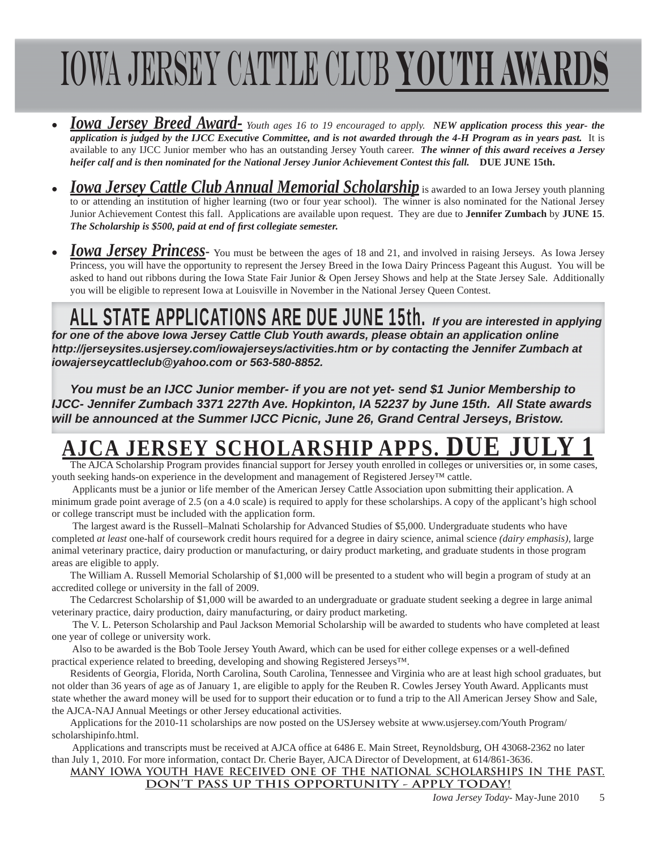# Iowa Jersey Cattle Club **Youth Awards**

- *Iowa Jersey Breed Award- Youth ages 16 to 19 encouraged to apply. NEW application process this year- the application is judged by the IJCC Executive Committee, and is not awarded through the 4-H Program as in years past.* It is available to any IJCC Junior member who has an outstanding Jersey Youth career. *The winner of this award receives a Jersey heifer calf and is then nominated for the National Jersey Junior Achievement Contest this fall.* **DUE JUNE 15th.**
- *Iowa Jersey Cattle Club Annual Memorial Scholarship is awarded to an Iowa Jersey youth planning* to or attending an institution of higher learning (two or four year school). The winner is also nominated for the National Jersey Junior Achievement Contest this fall. Applications are available upon request. They are due to **Jennifer Zumbach** by **JUNE 15**. *The Scholarship is \$500, paid at end of first collegiate semester.*
- **Iowa Jersey Princess** You must be between the ages of 18 and 21, and involved in raising Jerseys. As Iowa Jersey Princess, you will have the opportunity to represent the Jersey Breed in the Iowa Dairy Princess Pageant this August. You will be asked to hand out ribbons during the Iowa State Fair Junior & Open Jersey Shows and help at the State Jersey Sale. Additionally you will be eligible to represent Iowa at Louisville in November in the National Jersey Queen Contest.

## ALL STATE APPLICATIONS ARE DUE JUNE 15th. *If you are interested in applying*

*for one of the above Iowa Jersey Cattle Club Youth awards, please obtain an application online http://jerseysites.usjersey.com/iowajerseys/activities.htm or by contacting the Jennifer Zumbach at iowajerseycattleclub@yahoo.com or 563-580-8852.* 

*You must be an IJCC Junior member- if you are not yet- send \$1 Junior Membership to IJCC- Jennifer Zumbach 3371 227th Ave. Hopkinton, IA 52237 by June 15th. All State awards will be announced at the Summer IJCC Picnic, June 26, Grand Central Jerseys, Bristow.*

## **AJERSEY SCHOLARSHIP APPS.**

The AJCA Scholarship Program provides financial support for Jersey youth enrolled in colleges or universities or, in some cases, youth seeking hands-on experience in the development and management of Registered Jersey™ cattle.

 Applicants must be a junior or life member of the American Jersey Cattle Association upon submitting their application. A minimum grade point average of 2.5 (on a 4.0 scale) is required to apply for these scholarships. A copy of the applicant's high school or college transcript must be included with the application form.

 The largest award is the Russell–Malnati Scholarship for Advanced Studies of \$5,000. Undergraduate students who have completed *at least* one-half of coursework credit hours required for a degree in dairy science, animal science *(dairy emphasis)*, large animal veterinary practice, dairy production or manufacturing, or dairy product marketing, and graduate students in those program areas are eligible to apply.

The William A. Russell Memorial Scholarship of \$1,000 will be presented to a student who will begin a program of study at an accredited college or university in the fall of 2009.

The Cedarcrest Scholarship of \$1,000 will be awarded to an undergraduate or graduate student seeking a degree in large animal veterinary practice, dairy production, dairy manufacturing, or dairy product marketing.

 The V. L. Peterson Scholarship and Paul Jackson Memorial Scholarship will be awarded to students who have completed at least one year of college or university work.

Also to be awarded is the Bob Toole Jersey Youth Award, which can be used for either college expenses or a well-defined practical experience related to breeding, developing and showing Registered Jerseys™.

Residents of Georgia, Florida, North Carolina, South Carolina, Tennessee and Virginia who are at least high school graduates, but not older than 36 years of age as of January 1, are eligible to apply for the Reuben R. Cowles Jersey Youth Award. Applicants must state whether the award money will be used for to support their education or to fund a trip to the All American Jersey Show and Sale, the AJCA-NAJ Annual Meetings or other Jersey educational activities.

Applications for the 2010-11 scholarships are now posted on the USJersey website at www.usjersey.com/Youth Program/ scholarshipinfo.html.

Applications and transcripts must be received at AJCA office at 6486 E. Main Street, Reynoldsburg, OH 43068-2362 no later than July 1, 2010. For more information, contact Dr. Cherie Bayer, AJCA Director of Development, at 614/861-3636.

#### **MANY IOWA YOUTH HAVE RECEIVED ONE OF THE NATIONAL SCHOLARSHIPS IN THE PAST. DON'T PASS UP THIS OPPORTUNITY - APPLY TODAY!**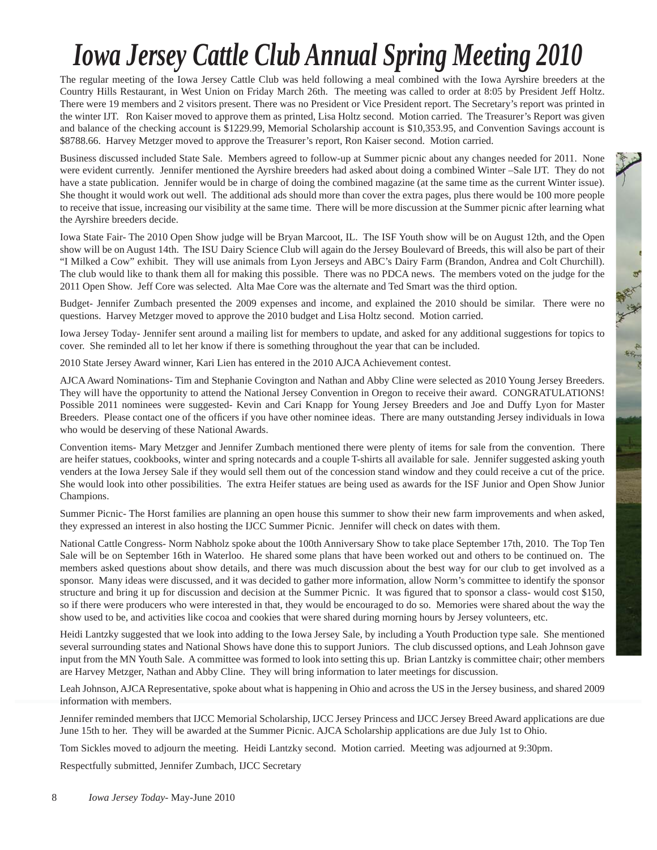# *Iowa Jersey Cattle Club Annual Spring Meeting 2010*

The regular meeting of the Iowa Jersey Cattle Club was held following a meal combined with the Iowa Ayrshire breeders at the Country Hills Restaurant, in West Union on Friday March 26th. The meeting was called to order at 8:05 by President Jeff Holtz. There were 19 members and 2 visitors present. There was no President or Vice President report. The Secretary's report was printed in the winter IJT. Ron Kaiser moved to approve them as printed, Lisa Holtz second. Motion carried. The Treasurer's Report was given and balance of the checking account is \$1229.99, Memorial Scholarship account is \$10,353.95, and Convention Savings account is \$8788.66. Harvey Metzger moved to approve the Treasurer's report, Ron Kaiser second. Motion carried.

Business discussed included State Sale. Members agreed to follow-up at Summer picnic about any changes needed for 2011. None were evident currently. Jennifer mentioned the Ayrshire breeders had asked about doing a combined Winter –Sale IJT. They do not have a state publication. Jennifer would be in charge of doing the combined magazine (at the same time as the current Winter issue). She thought it would work out well. The additional ads should more than cover the extra pages, plus there would be 100 more people to receive that issue, increasing our visibility at the same time. There will be more discussion at the Summer picnic after learning what the Ayrshire breeders decide.

Iowa State Fair- The 2010 Open Show judge will be Bryan Marcoot, IL. The ISF Youth show will be on August 12th, and the Open show will be on August 14th. The ISU Dairy Science Club will again do the Jersey Boulevard of Breeds, this will also be part of their "I Milked a Cow" exhibit. They will use animals from Lyon Jerseys and ABC's Dairy Farm (Brandon, Andrea and Colt Churchill). The club would like to thank them all for making this possible. There was no PDCA news. The members voted on the judge for the 2011 Open Show. Jeff Core was selected. Alta Mae Core was the alternate and Ted Smart was the third option.

a.

Budget- Jennifer Zumbach presented the 2009 expenses and income, and explained the 2010 should be similar. There were no questions. Harvey Metzger moved to approve the 2010 budget and Lisa Holtz second. Motion carried.

Iowa Jersey Today- Jennifer sent around a mailing list for members to update, and asked for any additional suggestions for topics to cover. She reminded all to let her know if there is something throughout the year that can be included.

2010 State Jersey Award winner, Kari Lien has entered in the 2010 AJCA Achievement contest.

AJCA Award Nominations- Tim and Stephanie Covington and Nathan and Abby Cline were selected as 2010 Young Jersey Breeders. They will have the opportunity to attend the National Jersey Convention in Oregon to receive their award. CONGRATULATIONS! Possible 2011 nominees were suggested- Kevin and Cari Knapp for Young Jersey Breeders and Joe and Duffy Lyon for Master Breeders. Please contact one of the officers if you have other nominee ideas. There are many outstanding Jersey individuals in Iowa who would be deserving of these National Awards.

Convention items- Mary Metzger and Jennifer Zumbach mentioned there were plenty of items for sale from the convention. There are heifer statues, cookbooks, winter and spring notecards and a couple T-shirts all available for sale. Jennifer suggested asking youth venders at the Iowa Jersey Sale if they would sell them out of the concession stand window and they could receive a cut of the price. She would look into other possibilities. The extra Heifer statues are being used as awards for the ISF Junior and Open Show Junior Champions.

Summer Picnic- The Horst families are planning an open house this summer to show their new farm improvements and when asked, they expressed an interest in also hosting the IJCC Summer Picnic. Jennifer will check on dates with them.

National Cattle Congress- Norm Nabholz spoke about the 100th Anniversary Show to take place September 17th, 2010. The Top Ten Sale will be on September 16th in Waterloo. He shared some plans that have been worked out and others to be continued on. The members asked questions about show details, and there was much discussion about the best way for our club to get involved as a sponsor. Many ideas were discussed, and it was decided to gather more information, allow Norm's committee to identify the sponsor structure and bring it up for discussion and decision at the Summer Picnic. It was figured that to sponsor a class- would cost \$150, so if there were producers who were interested in that, they would be encouraged to do so. Memories were shared about the way the show used to be, and activities like cocoa and cookies that were shared during morning hours by Jersey volunteers, etc.

Heidi Lantzky suggested that we look into adding to the Iowa Jersey Sale, by including a Youth Production type sale. She mentioned several surrounding states and National Shows have done this to support Juniors. The club discussed options, and Leah Johnson gave input from the MN Youth Sale. A committee was formed to look into setting this up. Brian Lantzky is committee chair; other members are Harvey Metzger, Nathan and Abby Cline. They will bring information to later meetings for discussion.

Leah Johnson, AJCA Representative, spoke about what is happening in Ohio and across the US in the Jersey business, and shared 2009 information with members.

Jennifer reminded members that IJCC Memorial Scholarship, IJCC Jersey Princess and IJCC Jersey Breed Award applications are due June 15th to her. They will be awarded at the Summer Picnic. AJCA Scholarship applications are due July 1st to Ohio.

Tom Sickles moved to adjourn the meeting. Heidi Lantzky second. Motion carried. Meeting was adjourned at 9:30pm.

Respectfully submitted, Jennifer Zumbach, IJCC Secretary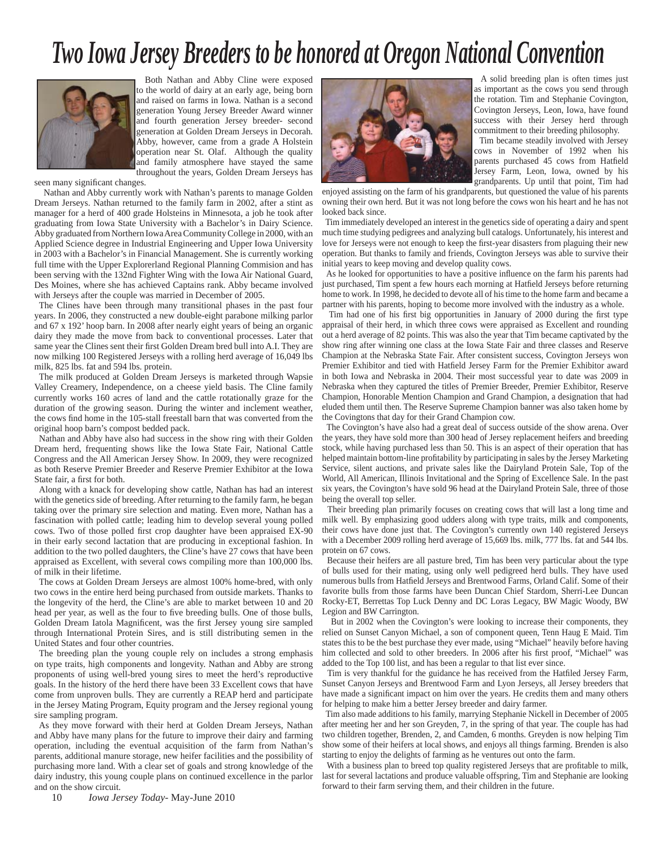## *Two Iowa Jersey Breeders to be honored at Oregon National Convention*



 Both Nathan and Abby Cline were exposed to the world of dairy at an early age, being born and raised on farms in Iowa. Nathan is a second generation Young Jersey Breeder Award winner and fourth generation Jersey breeder- second generation at Golden Dream Jerseys in Decorah. Abby, however, came from a grade A Holstein operation near St. Olaf. Although the quality and family atmosphere have stayed the same throughout the years, Golden Dream Jerseys has

seen many significant changes.

 Nathan and Abby currently work with Nathan's parents to manage Golden Dream Jerseys. Nathan returned to the family farm in 2002, after a stint as manager for a herd of 400 grade Holsteins in Minnesota, a job he took after graduating from Iowa State University with a Bachelor's in Dairy Science. Abby graduated from Northern Iowa Area Community College in 2000, with an Applied Science degree in Industrial Engineering and Upper Iowa University in 2003 with a Bachelor's in Financial Management. She is currently working full time with the Upper Explorerland Regional Planning Commision and has been serving with the 132nd Fighter Wing with the Iowa Air National Guard, Des Moines, where she has achieved Captains rank. Abby became involved with Jerseys after the couple was married in December of 2005.

The Clines have been through many transitional phases in the past four years. In 2006, they constructed a new double-eight parabone milking parlor and 67 x 192' hoop barn. In 2008 after nearly eight years of being an organic dairy they made the move from back to conventional processes. Later that same year the Clines sent their first Golden Dream bred bull into A.I. They are now milking 100 Registered Jerseys with a rolling herd average of 16,049 lbs milk, 825 lbs. fat and 594 lbs. protein.

The milk produced at Golden Dream Jerseys is marketed through Wapsie Valley Creamery, Independence, on a cheese yield basis. The Cline family currently works 160 acres of land and the cattle rotationally graze for the duration of the growing season. During the winter and inclement weather, the cows find home in the 105-stall freestall barn that was converted from the original hoop barn's compost bedded pack.

Nathan and Abby have also had success in the show ring with their Golden Dream herd, frequenting shows like the Iowa State Fair, National Cattle Congress and the All American Jersey Show. In 2009, they were recognized as both Reserve Premier Breeder and Reserve Premier Exhibitor at the Iowa State fair, a first for both.

Along with a knack for developing show cattle, Nathan has had an interest with the genetics side of breeding. After returning to the family farm, he began taking over the primary sire selection and mating. Even more, Nathan has a fascination with polled cattle; leading him to develop several young polled cows. Two of those polled first crop daughter have been appraised EX-90 in their early second lactation that are producing in exceptional fashion. In addition to the two polled daughters, the Cline's have 27 cows that have been appraised as Excellent, with several cows compiling more than 100,000 lbs. of milk in their lifetime.

The cows at Golden Dream Jerseys are almost 100% home-bred, with only two cows in the entire herd being purchased from outside markets. Thanks to the longevity of the herd, the Cline's are able to market between 10 and 20 head per year, as well as the four to five breeding bulls. One of those bulls, Golden Dream Iatola Magnificent, was the first Jersey young sire sampled through International Protein Sires, and is still distributing semen in the United States and four other countries.

The breeding plan the young couple rely on includes a strong emphasis on type traits, high components and longevity. Nathan and Abby are strong proponents of using well-bred young sires to meet the herd's reproductive goals. In the history of the herd there have been 33 Excellent cows that have come from unproven bulls. They are currently a REAP herd and participate in the Jersey Mating Program, Equity program and the Jersey regional young sire sampling program.

As they move forward with their herd at Golden Dream Jerseys, Nathan and Abby have many plans for the future to improve their dairy and farming operation, including the eventual acquisition of the farm from Nathan's parents, additional manure storage, new heifer facilities and the possibility of purchasing more land. With a clear set of goals and strong knowledge of the dairy industry, this young couple plans on continued excellence in the parlor and on the show circuit.

10 *Iowa Jersey Today*- May-June 2010



 A solid breeding plan is often times just as important as the cows you send through the rotation. Tim and Stephanie Covington, Covington Jerseys, Leon, Iowa, have found success with their Jersey herd through commitment to their breeding philosophy.

 Tim became steadily involved with Jersey cows in November of 1992 when his parents purchased 45 cows from Hatfield Jersey Farm, Leon, Iowa, owned by his grandparents. Up until that point, Tim had

enjoyed assisting on the farm of his grandparents, but questioned the value of his parents owning their own herd. But it was not long before the cows won his heart and he has not looked back since.

 Tim immediately developed an interest in the genetics side of operating a dairy and spent much time studying pedigrees and analyzing bull catalogs. Unfortunately, his interest and love for Jerseys were not enough to keep the first-year disasters from plaguing their new operation. But thanks to family and friends, Covington Jerseys was able to survive their initial years to keep moving and develop quality cows.

As he looked for opportunities to have a positive influence on the farm his parents had just purchased, Tim spent a few hours each morning at Hatfield Jerseys before returning home to work. In 1998, he decided to devote all of his time to the home farm and became a partner with his parents, hoping to become more involved with the industry as a whole.

Tim had one of his first big opportunities in January of 2000 during the first type appraisal of their herd, in which three cows were appraised as Excellent and rounding out a herd average of 82 points. This was also the year that Tim became captivated by the show ring after winning one class at the Iowa State Fair and three classes and Reserve Champion at the Nebraska State Fair. After consistent success, Covington Jerseys won Premier Exhibitor and tied with Hatfield Jersey Farm for the Premier Exhibitor award in both Iowa and Nebraska in 2004. Their most successful year to date was 2009 in Nebraska when they captured the titles of Premier Breeder, Premier Exhibitor, Reserve Champion, Honorable Mention Champion and Grand Champion, a designation that had eluded them until then. The Reserve Supreme Champion banner was also taken home by the Covingtons that day for their Grand Champion cow.

 The Covington's have also had a great deal of success outside of the show arena. Over the years, they have sold more than 300 head of Jersey replacement heifers and breeding stock, while having purchased less than 50. This is an aspect of their operation that has helped maintain bottom-line profitability by participating in sales by the Jersey Marketing Service, silent auctions, and private sales like the Dairyland Protein Sale, Top of the World, All American, Illinois Invitational and the Spring of Excellence Sale. In the past six years, the Covington's have sold 96 head at the Dairyland Protein Sale, three of those being the overall top seller.

 Their breeding plan primarily focuses on creating cows that will last a long time and milk well. By emphasizing good udders along with type traits, milk and components, their cows have done just that. The Covington's currently own 140 registered Jerseys with a December 2009 rolling herd average of 15,669 lbs. milk, 777 lbs. fat and 544 lbs. protein on 67 cows.

 Because their heifers are all pasture bred, Tim has been very particular about the type of bulls used for their mating, using only well pedigreed herd bulls. They have used numerous bulls from Hatfield Jerseys and Brentwood Farms, Orland Calif. Some of their favorite bulls from those farms have been Duncan Chief Stardom, Sherri-Lee Duncan Rocky-ET, Berrettas Top Luck Denny and DC Loras Legacy, BW Magic Woody, BW Legion and BW Carrington.

 But in 2002 when the Covington's were looking to increase their components, they relied on Sunset Canyon Michael, a son of component queen, Tenn Haug E Maid. Tim states this to be the best purchase they ever made, using "Michael" heavily before having him collected and sold to other breeders. In 2006 after his first proof, "Michael" was added to the Top 100 list, and has been a regular to that list ever since.

Tim is very thankful for the guidance he has received from the Hatfiled Jersey Farm, Sunset Canyon Jerseys and Brentwood Farm and Lyon Jerseys, all Jersey breeders that have made a significant impact on him over the years. He credits them and many others for helping to make him a better Jersey breeder and dairy farmer.

 Tim also made additions to his family, marrying Stephanie Nickell in December of 2005 after meeting her and her son Greyden, 7, in the spring of that year. The couple has had two children together, Brenden, 2, and Camden, 6 months. Greyden is now helping Tim show some of their heifers at local shows, and enjoys all things farming. Brenden is also starting to enjoy the delights of farming as he ventures out onto the farm.

With a business plan to breed top quality registered Jerseys that are profitable to milk, last for several lactations and produce valuable offspring, Tim and Stephanie are looking forward to their farm serving them, and their children in the future.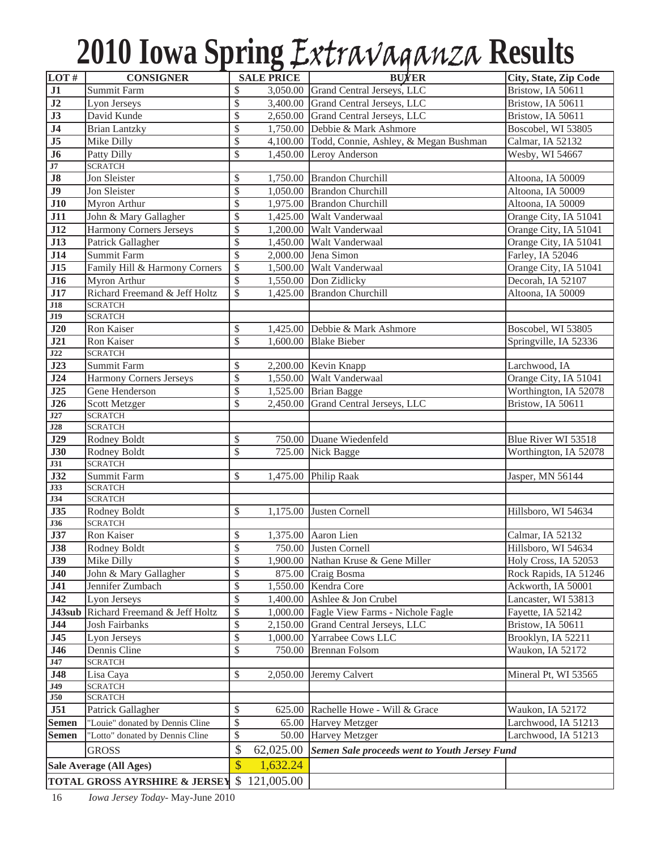# **2010 Iowa Spring** Extravaganza **Results**

| LOT#                     | <b>CONSIGNER</b>                                 |                 | <b>SALE PRICE</b>    | <b>BUYER</b>                                         | City, State, Zip Code                   |  |  |
|--------------------------|--------------------------------------------------|-----------------|----------------------|------------------------------------------------------|-----------------------------------------|--|--|
| $\overline{J1}$          | Summit Farm                                      | \$              | 3,050.00             | Grand Central Jerseys, LLC                           | Bristow, IA 50611                       |  |  |
| J2                       | Lyon Jerseys                                     | \$              | 3,400.00             | Grand Central Jerseys, LLC                           | Bristow, IA 50611                       |  |  |
| J3                       | David Kunde                                      | \$              | 2,650.00             | Grand Central Jerseys, LLC                           | Bristow, IA 50611                       |  |  |
| J <sub>4</sub>           | <b>Brian Lantzky</b>                             | \$              | 1,750.00             | Debbie & Mark Ashmore                                | Boscobel, WI 53805                      |  |  |
| J5                       | Mike Dilly                                       | \$              | 4,100.00             | Todd, Connie, Ashley, & Megan Bushman                | Calmar, IA 52132                        |  |  |
| J6                       | Patty Dilly                                      | $\mathcal{S}$   | 1,450.00             | Leroy Anderson                                       | Wesby, WI 54667                         |  |  |
| J7                       | <b>SCRATCH</b>                                   |                 |                      |                                                      |                                         |  |  |
| ${\bf J8}$               | Jon Sleister                                     | \$              |                      | 1,750.00 Brandon Churchill                           | Altoona, IA 50009                       |  |  |
| J <sub>9</sub>           | Jon Sleister                                     | \$              | 1,050.00             | <b>Brandon Churchill</b>                             | Altoona, IA 50009                       |  |  |
| J10                      | Myron Arthur                                     | \$              | 1,975.00             | <b>Brandon Churchill</b>                             | Altoona, IA 50009                       |  |  |
| J11                      | John & Mary Gallagher                            | \$              | 1,425.00             | Walt Vanderwaal                                      | Orange City, IA 51041                   |  |  |
| J12                      | Harmony Corners Jerseys                          | \$              | 1,200.00             | Walt Vanderwaal                                      | Orange City, IA 51041                   |  |  |
| <b>J13</b>               | Patrick Gallagher                                | \$              | 1,450.00             | Walt Vanderwaal                                      | Orange City, IA 51041                   |  |  |
| J14                      | Summit Farm                                      | $\overline{\$}$ | 2,000.00             | Jena Simon                                           | Farley, IA 52046                        |  |  |
| J15                      | Family Hill & Harmony Corners                    | $\mathcal{S}$   | 1,500.00             | Walt Vanderwaal                                      | Orange City, IA 51041                   |  |  |
| J16                      | Myron Arthur                                     | \$              | 1,550.00             | Don Zidlicky                                         | Decorah, IA 52107                       |  |  |
| J17                      | Richard Freemand & Jeff Holtz                    | \$              | 1,425.00             | <b>Brandon Churchill</b>                             | Altoona, IA 50009                       |  |  |
| J18                      | <b>SCRATCH</b>                                   |                 |                      |                                                      |                                         |  |  |
| J19                      | <b>SCRATCH</b>                                   |                 |                      |                                                      |                                         |  |  |
| J20                      | Ron Kaiser                                       | \$              | 1,425.00             | Debbie & Mark Ashmore                                | Boscobel, WI 53805                      |  |  |
| J21                      | Ron Kaiser                                       | $\mathcal{S}$   | 1,600.00             | <b>Blake Bieber</b>                                  | Springville, IA 52336                   |  |  |
| J22<br>$\overline{J23}$  | <b>SCRATCH</b><br>Summit Farm                    |                 |                      |                                                      | Larchwood, IA                           |  |  |
| J24                      |                                                  | \$<br>\$        |                      | 2,200.00 Kevin Knapp<br>Walt Vanderwaal              | Orange City, IA 51041                   |  |  |
| J25                      | <b>Harmony Corners Jerseys</b><br>Gene Henderson | \$              | 1,550.00<br>1,525.00 | <b>Brian Bagge</b>                                   | Worthington, IA 52078                   |  |  |
| J26                      | Scott Metzger                                    | \$              | 2,450.00             | Grand Central Jerseys, LLC                           | Bristow, IA 50611                       |  |  |
| J27                      | <b>SCRATCH</b>                                   |                 |                      |                                                      |                                         |  |  |
| J28                      | <b>SCRATCH</b>                                   |                 |                      |                                                      |                                         |  |  |
| J29                      | Rodney Boldt                                     | \$              | 750.00               | Duane Wiedenfeld                                     | Blue River WI 53518                     |  |  |
| <b>J30</b>               | Rodney Boldt                                     | \$              | 725.00               | Nick Bagge                                           | Worthington, IA 52078                   |  |  |
| J31                      | <b>SCRATCH</b>                                   |                 |                      |                                                      |                                         |  |  |
| <b>J32</b>               | Summit Farm                                      | \$              | 1,475.00             | Philip Raak                                          | Jasper, MN 56144                        |  |  |
| J33                      | <b>SCRATCH</b>                                   |                 |                      |                                                      |                                         |  |  |
| J34                      | <b>SCRATCH</b>                                   |                 |                      |                                                      |                                         |  |  |
| <b>J35</b>               | Rodney Boldt                                     | \$              | 1,175.00             | Justen Cornell                                       | Hillsboro, WI 54634                     |  |  |
| J36                      | <b>SCRATCH</b>                                   |                 |                      |                                                      |                                         |  |  |
| <b>J37</b><br><b>J38</b> | Ron Kaiser<br>Rodney Boldt                       | \$<br>\$        | 1,375.00             | Aaron Lien<br>750.00 Justen Cornell                  | Calmar, IA 52132<br>Hillsboro, WI 54634 |  |  |
| <b>J39</b>               | Mike Dilly                                       | $\$\,$          |                      | 1,900.00 Nathan Kruse & Gene Miller                  | Holy Cross, IA 52053                    |  |  |
| <b>J40</b>               | John & Mary Gallagher                            | \$              | 875.00               | Craig Bosma                                          | Rock Rapids, IA 51246                   |  |  |
| J41                      | Jennifer Zumbach                                 | \$              | 1,550.00             | Kendra Core                                          | Ackworth, IA 50001                      |  |  |
| J42                      | Lyon Jerseys                                     | \$              | 1,400.00             | Ashlee & Jon Crubel                                  | Lancaster, WI 53813                     |  |  |
| J43sub                   | Richard Freemand & Jeff Holtz                    | \$              | 1,000.00             | Fagle View Farms - Nichole Fagle                     | Fayette, IA 52142                       |  |  |
| <b>J44</b>               | Josh Fairbanks                                   | $\mathbb{S}$    | 2,150.00             | Grand Central Jerseys, LLC                           | Bristow, IA 50611                       |  |  |
| <b>J45</b>               | Lyon Jerseys                                     | $\mathbb{S}$    | 1,000.00             | Yarrabee Cows LLC                                    | Brooklyn, IA 52211                      |  |  |
| <b>J46</b>               | Dennis Cline                                     | \$              | 750.00               | <b>Brennan Folsom</b>                                | Waukon, IA 52172                        |  |  |
| J47                      | <b>SCRATCH</b>                                   |                 |                      |                                                      |                                         |  |  |
| <b>J48</b>               | Lisa Caya                                        | \$              | 2,050.00             | Jeremy Calvert                                       | Mineral Pt, WI 53565                    |  |  |
| <b>J49</b>               | <b>SCRATCH</b>                                   |                 |                      |                                                      |                                         |  |  |
| J50                      | <b>SCRATCH</b>                                   |                 |                      |                                                      |                                         |  |  |
| J51                      | Patrick Gallagher                                | \$              | 625.00               | Rachelle Howe - Will & Grace                         | Waukon, IA 52172                        |  |  |
| <b>Semen</b>             | "Louie" donated by Dennis Cline                  | \$              | 65.00                | <b>Harvey Metzger</b>                                | Larchwood, IA 51213                     |  |  |
| <b>Semen</b>             | "Lotto" donated by Dennis Cline                  | \$              | 50.00                | Harvey Metzger                                       | Larchwood, IA 51213                     |  |  |
|                          | <b>GROSS</b>                                     | \$              | 62,025.00            | <b>Semen Sale proceeds went to Youth Jersey Fund</b> |                                         |  |  |
|                          | Sale Average (All Ages)                          | \$              | 1,632.24             |                                                      |                                         |  |  |
|                          | <b>TOTAL GROSS AYRSHIRE &amp; JERSEY</b>         | $\mathbb{S}$    | 121,005.00           |                                                      |                                         |  |  |
|                          |                                                  |                 |                      |                                                      |                                         |  |  |

16 *Iowa Jersey Today*- May-June 2010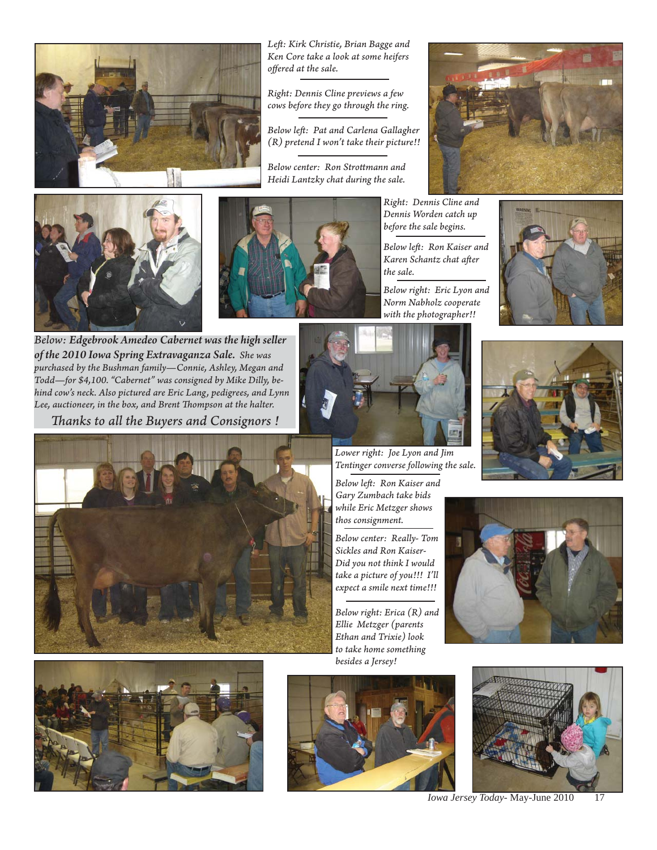

*of the 2010 Iowa Spring Extravaganza Sale. She was purchased by the Bushman family—Connie, Ashley, Megan and Todd—for \$4,100. "Cabernet" was consigned by Mike Dilly, behind cow's neck. Also pictured are Eric Lang, pedigrees, and Lynn*  Lee, auctioneer, in the box, and Brent Thompson at the halter. *Th anks to all the Buyers and Consignors !*

*Left : Kirk Christie, Brian Bagge and Ken Core take a look at some heifers off ered at the sale.*

*Right: Dennis Cline previews a few cows before they go through the ring.*

*Below left : Pat and Carlena Gallagher (R) pretend I won't take their picture!!*

*Below center: Ron Strott mann and Heidi Lantzky chat during the sale.*







*Right: Dennis Cline and Dennis Worden catch up before the sale begins.*

*Below left : Ron Kaiser and Karen Schantz chat after the sale.*

*Below right: Eric Lyon and Norm Nabholz cooperate with the photographer!!*





*Tentinger converse following the sale.*

*Sickles and Ron Kaiser-Did you not think I would take a picture of you!!! I'll expect a smile next time!!!*

*to take home something besides a Jersey!*











*Iowa Jersey Today*- May-June 2010 17





*while Eric Metzger shows thos consignment.*

*Below center: Really- Tom* 

*Below right: Erica (R) and Ellie Metzger (parents Ethan and Trixie) look*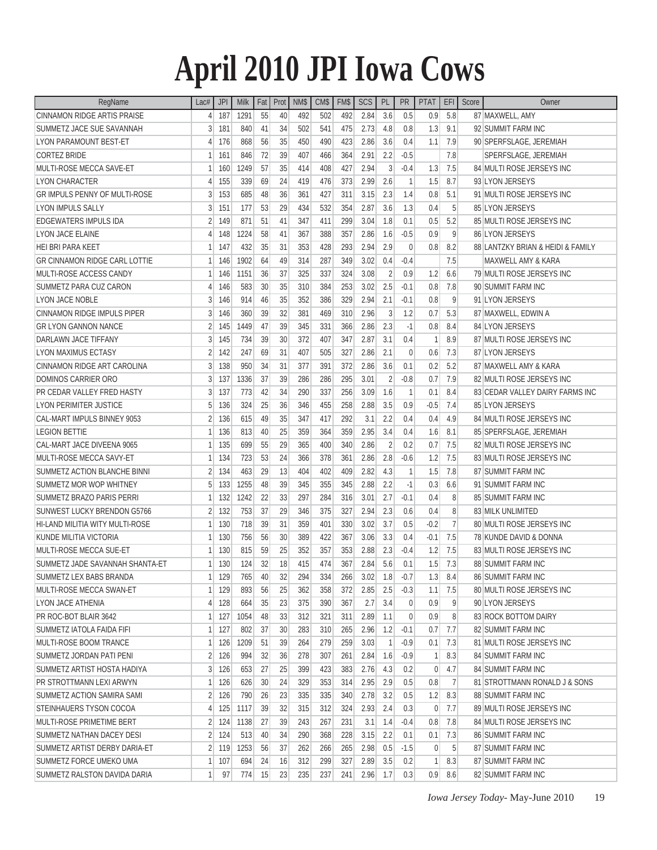# **April 2010 JPI Iowa Cows**

| RegName                              | Lac#           | <b>JPI</b> | <b>Milk</b> | Fat | Prot            | NM\$ | CM\$ | FM\$ | SCS  | PL             | PR             | <b>PTAT</b>  | EFI            | Score | Owner                             |  |
|--------------------------------------|----------------|------------|-------------|-----|-----------------|------|------|------|------|----------------|----------------|--------------|----------------|-------|-----------------------------------|--|
| CINNAMON RIDGE ARTIS PRAISE          | 4              | 187        | 1291        | 55  | 40              | 492  | 502  | 492  | 2.84 | 3.6            | 0.5            | 0.9          | 5.8            |       | 87 MAXWELL, AMY                   |  |
| SUMMETZ JACE SUE SAVANNAH            | 3              | 181        | 840         | 41  | 34              | 502  | 541  | 475  | 2.73 | 4.8            | 0.8            | 1.3          | 9.1            |       | 92 SUMMIT FARM INC                |  |
| <b>LYON PARAMOUNT BEST-ET</b>        | 4              | 176        | 868         | 56  | 35              | 450  | 490  | 423  | 2.86 | 3.6            | 0.4            | 1.1          | 7.9            |       | 90 SPERFSLAGE, JEREMIAH           |  |
| <b>CORTEZ BRIDE</b>                  | 1              | 161        | 846         | 72  | 39              | 407  | 466  | 364  | 2.91 | 2.2            | $-0.5$         |              | 7.8            |       | SPERFSLAGE, JEREMIAH              |  |
| MULTI-ROSE MECCA SAVE-ET             | 1              | 160        | 1249        | 57  | 35              | 414  | 408  | 427  | 2.94 | 3              | $-0.4$         | 1.3          | 7.5            |       | 84 MULTI ROSE JERSEYS INC         |  |
| <b>LYON CHARACTER</b>                | 4              | 155        | 339         | 69  | 24              | 419  | 476  | 373  | 2.99 | 2.6            | 1              | 1.5          | 8.7            |       | 93 LYON JERSEYS                   |  |
| <b>GR IMPULS PENNY OF MULTI-ROSE</b> | 3              | 153        | 685         | 48  | 36              | 361  | 427  | 311  | 3.15 | 2.3            | 1.4            | 0.8          | 5.1            |       | 91 MULTI ROSE JERSEYS INC         |  |
| <b>LYON IMPULS SALLY</b>             | 3              | 151        | 177         | 53  | 29              | 434  | 532  | 354  | 2.87 | 3.6            | 1.3            | 0.4          | 5              |       | 85 LYON JERSEYS                   |  |
| EDGEWATERS IMPULS IDA                | 2              | 149        | 871         | 51  | 41              | 347  | 411  | 299  | 3.04 | 1.8            | 0.1            | 0.5          | 5.2            |       | 85 MULTI ROSE JERSEYS INC         |  |
| <b>LYON JACE ELAINE</b>              | 4              | 148        | 1224        | 58  | 41              | 367  | 388  | 357  | 2.86 | 1.6            | $-0.5$         | 0.9          | 9              |       | 86 LYON JERSEYS                   |  |
| HEI BRI PARA KEET                    | 1              | 147        | 432         | 35  | 31              | 353  | 428  | 293  | 2.94 | 2.9            | $\mathbf{0}$   | 0.8          | 8.2            |       | 88 LANTZKY BRIAN & HEIDI & FAMILY |  |
| <b>GR CINNAMON RIDGE CARL LOTTIE</b> | 1              | 146        | 1902        | 64  | 49              | 314  | 287  | 349  | 3.02 | 0.4            | $-0.4$         |              | 7.5            |       | MAXWELL AMY & KARA                |  |
| MULTI-ROSE ACCESS CANDY              | 1              | 146        | 1151        | 36  | 37              | 325  | 337  | 324  | 3.08 | $\overline{2}$ | 0.9            | 1.2          | 6.6            |       | 79 MULTI ROSE JERSEYS INC         |  |
| SUMMETZ PARA CUZ CARON               | 4              | 146        | 583         | 30  | 35              | 310  | 384  | 253  | 3.02 | 2.5            | $-0.1$         | 0.8          | 7.8            |       | 90 SUMMIT FARM INC                |  |
| LYON JACE NOBLE                      | 3              | 146        | 914         | 46  | 35              | 352  | 386  | 329  | 2.94 | 2.1            | $-0.1$         | 0.8          | 9              |       | 91 LYON JERSEYS                   |  |
| CINNAMON RIDGE IMPULS PIPER          | 3              | 146        | 360         | 39  | 32              | 381  | 469  | 310  | 2.96 | 3              | 1.2            | 0.7          | 5.3            |       | 87 MAXWELL, EDWIN A               |  |
| <b>GR LYON GANNON NANCE</b>          | 2              | 145        | 1449        | 47  | 39              | 345  | 331  | 366  | 2.86 | 2.3            | $-1$           | 0.8          | 8.4            |       | 84 LYON JERSEYS                   |  |
| DARLAWN JACE TIFFANY                 | 3              | 145        | 734         | 39  | 30              | 372  | 407  | 347  | 2.87 | 3.1            | 0.4            | $\mathbf{1}$ | 8.9            |       | 87 MULTI ROSE JERSEYS INC         |  |
| <b>LYON MAXIMUS ECTASY</b>           | 2              | 142        | 247         | 69  | 31              | 407  | 505  | 327  | 2.86 | 2.1            | 0              | 0.6          | 7.3            |       | 87 LYON JERSEYS                   |  |
| CINNAMON RIDGE ART CAROLINA          | 3              | 138        | 950         | 34  | 31              | 377  | 391  | 372  | 2.86 | 3.6            | 0.1            | 0.2          | 5.2            |       | 87 MAXWELL AMY & KARA             |  |
| DOMINOS CARRIER ORO                  | 3              | 137        | 1336        | 37  | 39              | 286  | 286  | 295  | 3.01 | $\overline{2}$ | $-0.8$         | 0.7          | 7.9            |       | 82 MULTI ROSE JERSEYS INC         |  |
| PR CEDAR VALLEY FRED HASTY           | 3              | 137        | 773         | 42  | 34              | 290  | 337  | 256  | 3.09 | 1.6            | 1              | 0.1          | 8.4            |       | 83 CEDAR VALLEY DAIRY FARMS INC   |  |
| <b>LYON PERIMITER JUSTICE</b>        | 5              | 136        | 324         | 25  | 36              | 346  | 455  | 258  | 2.88 | 3.5            | 0.9            | $-0.5$       | 7.4            |       | 85 LYON JERSEYS                   |  |
| CAL-MART IMPULS BINNEY 9053          | 2              | 136        | 615         | 49  | 35              | 347  | 417  | 292  | 3.1  | 2.2            | 0.4            | 0.4          | 4.9            |       | 84 MULTI ROSE JERSEYS INC         |  |
| <b>LEGION BETTIE</b>                 | 1              | 136        | 813         | 40  | 25              | 359  | 364  | 359  | 2.95 | 3.4            | 0.4            | 1.6          | 8.1            |       | 85 SPERFSLAGE, JEREMIAH           |  |
| CAL-MART JACE DIVEENA 9065           | 1              | 135        | 699         | 55  | 29              | 365  | 400  | 340  | 2.86 | $\overline{2}$ | 0.2            | 0.7          | 7.5            |       | 82 MULTI ROSE JERSEYS INC         |  |
| MULTI-ROSE MECCA SAVY-ET             | 1              | 134        | 723         | 53  | 24              | 366  | 378  | 361  | 2.86 | 2.8            | $-0.6$         | 1.2          | 7.5            |       | 83 MULTI ROSE JERSEYS INC         |  |
| SUMMETZ ACTION BLANCHE BINNI         | 2              | 134        | 463         | 29  | 13              | 404  | 402  | 409  | 2.82 | 4.3            | 1              | 1.5          | 7.8            |       | 87 SUMMIT FARM INC                |  |
| SUMMETZ MOR WOP WHITNEY              | 5              | 133        | 1255        | 48  | 39              | 345  | 355  | 345  | 2.88 | 2.2            | $-1$           | 0.3          | 6.6            |       | 91 SUMMIT FARM INC                |  |
| <b>SUMMETZ BRAZO PARIS PERRI</b>     | 1              | 132        | 1242        | 22  | 33              | 297  | 284  | 316  | 3.01 | 2.7            | $-0.1$         | 0.4          | 8              |       | 85 SUMMIT FARM INC                |  |
| SUNWEST LUCKY BRENDON G5766          | 2              | 132        | 753         | 37  | 29              | 346  | 375  | 327  | 2.94 | 2.3            | 0.6            | 0.4          | 8              |       | 83 MILK UNLIMITED                 |  |
| HI-LAND MILITIA WITY MULTI-ROSE      | 1              | 130        | 718         | 39  | 31              | 359  | 401  | 330  | 3.02 | 3.7            | 0.5            | $-0.2$       | $\overline{7}$ |       | 80 MULTI ROSE JERSEYS INC         |  |
| KUNDE MILITIA VICTORIA               | 1              | 130        | 756         | 56  | 30              | 389  | 422  | 367  | 3.06 | 3.3            | 0.4            | $-0.1$       | 7.5            |       | 78 KUNDE DAVID & DONNA            |  |
| MULTI-ROSE MECCA SUE-ET              |                | 130        | 815         | 59  | 25              | 352  | 357  | 353  | 2.88 | 2.3            | $-0.4$         | 1.2          | 7.5            |       | 83 MULTI ROSE JERSEYS INC         |  |
| SUMMETZ JADE SAVANNAH SHANTA-ET      | 1              | 130        | 124         | 32  | 18              | 415  | 474  | 367  | 2.84 | 5.6            | 0.1            | 1.5          | 7.3            |       | 88 SUMMIT FARM INC                |  |
| SUMMETZ LEX BABS BRANDA              |                | $1$ 129    | 765         | 40  | 32              | 294  | 334  | 266  | 3.02 | 1.8            | $-0.7$         | 1.3          | 8.4            |       | 86 SUMMIT FARM INC                |  |
| MULTI-ROSE MECCA SWAN-ET             | 1              | 129        | 893         | 56  | 25              | 362  | 358  | 372  | 2.85 | 2.5            | $-0.3$         | 1.1          | 7.5            |       | 80 MULTI ROSE JERSEYS INC         |  |
| LYON JACE ATHENIA                    | 4              | 128        | 664         | 35  | 23              | 375  | 390  | 367  | 2.7  | 3.4            | $\overline{0}$ | 0.9          | 9              |       | 90 LYON JERSEYS                   |  |
| PR ROC-BOT BLAIR 3642                | 1              | 127        | 1054        | 48  | 33              | 312  | 321  | 311  | 2.89 | 1.1            | $\overline{0}$ | 0.9          | 8 <sup>°</sup> |       | 83 ROCK BOTTOM DAIRY              |  |
| SUMMETZ IATOLA FAIDA FIFI            | 1              | 127        | 802         | 37  | 30              | 283  | 310  | 265  | 2.96 | 1.2            | $-0.1$         | 0.7          | 7.7            |       | 82 SUMMIT FARM INC                |  |
| MULTI-ROSE BOOM TRANCE               | 1              | 126        | 1209        | 51  | 39              | 264  | 279  | 259  | 3.03 | $\overline{1}$ | $-0.9$         | 0.1          | 7.3            |       | 81 MULTI ROSE JERSEYS INC         |  |
| SUMMETZ JORDAN PATI PENI             | $\overline{2}$ | 126        | 994         | 32  | 36              | 278  | 307  | 261  | 2.84 | 1.6            | $-0.9$         | 1            | 8.3            |       | 84 SUMMIT FARM INC                |  |
| SUMMETZ ARTIST HOSTA HADIYA          | $\frac{3}{2}$  | 126        | 653         | 27  | 25 <sup>2</sup> | 399  | 423  | 383  | 2.76 | 4.3            | 0.2            | 0            | 4.7            |       | 84 SUMMIT FARM INC                |  |
| PR STROTTMANN LEXI ARWYN             | 1              | 126        | 626         | 30  | 24              | 329  | 353  | 314  | 2.95 | 2.9            | 0.5            | 0.8          | $\overline{1}$ |       | 81 STROTTMANN RONALD J & SONS     |  |
| SUMMETZ ACTION SAMIRA SAMI           | $\overline{2}$ | 126        | 790         | 26  | 23              | 335  | 335  | 340  | 2.78 | 3.2            | 0.5            | 1.2          | 8.3            |       | 88 SUMMIT FARM INC                |  |
| STEINHAUERS TYSON COCOA              | 4              | 125        | 1117        | 39  | 32              | 315  | 312  | 324  | 2.93 | 2.4            | 0.3            | 0            | 7.7            |       | 89 MULTI ROSE JERSEYS INC         |  |
| MULTI-ROSE PRIMETIME BERT            | $\overline{2}$ | 124        | 1138        | 27  | 39              | 243  | 267  | 231  | 3.1  | 1.4            | $-0.4$         | 0.8          | 7.8            |       | 84 MULTI ROSE JERSEYS INC         |  |
| SUMMETZ NATHAN DACEY DESI            | $\overline{2}$ | 124        | 513         | 40  | 34              | 290  | 368  | 228  | 3.15 | 2.2            | 0.1            | 0.1          | 7.3            |       | <b>86 SUMMIT FARM INC</b>         |  |
| SUMMETZ ARTIST DERBY DARIA-ET        | $\overline{2}$ | 119        | 1253        | 56  | 37              | 262  | 266  | 265  | 2.98 | 0.5            | $-1.5$         | 0            | 5 <sup>5</sup> |       | 87 SUMMIT FARM INC                |  |
| SUMMETZ FORCE UMEKO UMA              | 1              | 107        | 694         | 24  | 16              | 312  | 299  | 327  | 2.89 | 3.5            | 0.2            | 1            | 8.3            |       | 87 SUMMIT FARM INC                |  |
| SUMMETZ RALSTON DAVIDA DARIA         | 1              | 97         | 774         | 15  | 23              | 235  | 237  | 241  | 2.96 | 1.7            | 0.3            | 0.9          | 8.6            |       | 82 SUMMIT FARM INC                |  |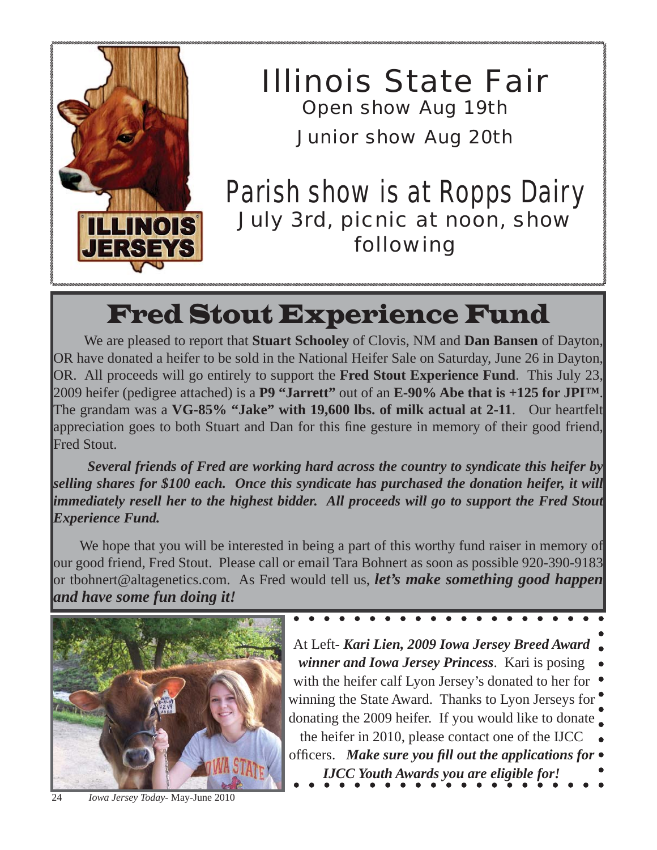

*Illinois State Fair Open show Aug 19th Junior show Aug 20th*

## *Parish show is at Ropps Dairy July 3rd, picnic at noon, show following*

# Fred Stout Experience Fund

 We are pleased to report that **Stuart Schooley** of Clovis, NM and **Dan Bansen** of Dayton, OR have donated a heifer to be sold in the National Heifer Sale on Saturday, June 26 in Dayton, OR. All proceeds will go entirely to support the **Fred Stout Experience Fund**. This July 23, 2009 heifer (pedigree attached) is a **P9 "Jarrett"** out of an **E-90% Abe that is +125 for JPI™**. The grandam was a **VG-85% "Jake" with 19,600 lbs. of milk actual at 2-11**. Our heartfelt appreciation goes to both Stuart and Dan for this fine gesture in memory of their good friend, Fred Stout.

 *Several friends of Fred are working hard across the country to syndicate this heifer by selling shares for \$100 each. Once this syndicate has purchased the donation heifer, it will immediately resell her to the highest bidder. All proceeds will go to support the Fred Stout Experience Fund.*

 We hope that you will be interested in being a part of this worthy fund raiser in memory of our good friend, Fred Stout. Please call or email Tara Bohnert as soon as possible 920-390-9183 or tbohnert@altagenetics.com. As Fred would tell us, *let's make something good happen and have some fun doing it!*



24 *Iowa Jersey Today*- May-June 2010

At Left- *Kari Lien, 2009 Iowa Jersey Breed Award winner and Iowa Jersey Princess*. Kari is posing with the heifer calf Lyon Jersey's donated to her for  $\bullet$ winning the State Award. Thanks to Lyon Jerseys for donating the 2009 heifer. If you would like to donate the heifer in 2010, please contact one of the IJCC offi cers. *Make sure you fi ll out the applications for IJCC Youth Awards you are eligible for!*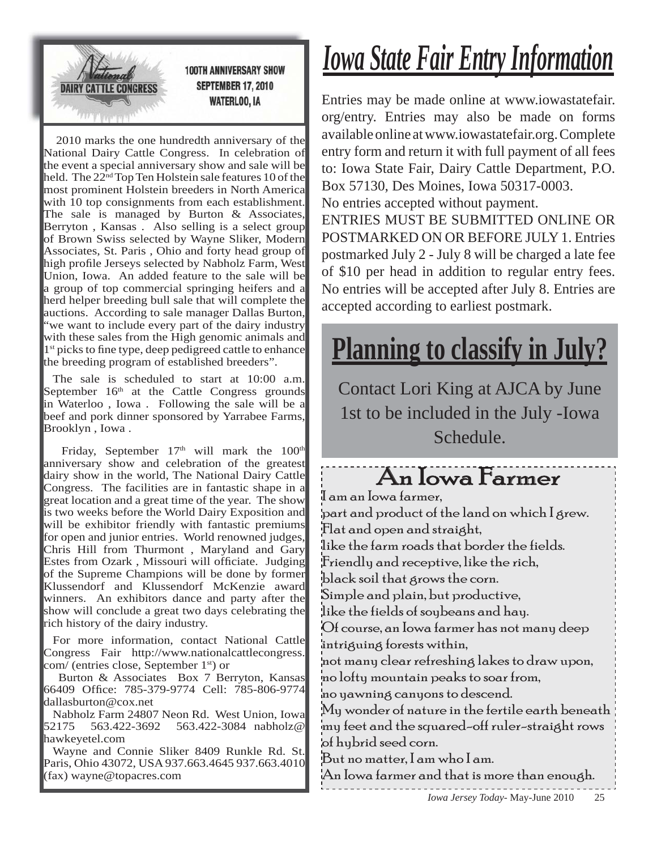

2010 marks the one hundredth anniversary of the National Dairy Cattle Congress. In celebration of the event a special anniversary show and sale will be held. The  $22<sup>nd</sup>$  Top Ten Holstein sale features 10 of the most prominent Holstein breeders in North America with 10 top consignments from each establishment. The sale is managed by Burton  $&$  Associates, Berryton , Kansas . Also selling is a select group of Brown Swiss selected by Wayne Sliker, Modern Associates, St. Paris , Ohio and forty head group of high profile Jerseys selected by Nabholz Farm, West Union, Iowa. An added feature to the sale will be a group of top commercial springing heifers and a herd helper breeding bull sale that will complete the auctions. According to sale manager Dallas Burton, "we want to include every part of the dairy industry with these sales from the High genomic animals and 1<sup>st</sup> picks to fine type, deep pedigreed cattle to enhance the breeding program of established breeders".

The sale is scheduled to start at 10:00 a.m. September  $16<sup>th</sup>$  at the Cattle Congress grounds in Waterloo , Iowa . Following the sale will be a beef and pork dinner sponsored by Yarrabee Farms, Brooklyn , Iowa .

Friday, September  $17<sup>th</sup>$  will mark the  $100<sup>th</sup>$ anniversary show and celebration of the greatest dairy show in the world, The National Dairy Cattle Congress. The facilities are in fantastic shape in a great location and a great time of the year. The show is two weeks before the World Dairy Exposition and will be exhibitor friendly with fantastic premiums for open and junior entries. World renowned judges, Chris Hill from Thurmont , Maryland and Gary Estes from Ozark, Missouri will officiate. Judging of the Supreme Champions will be done by former Klussendorf and Klussendorf McKenzie award winners. An exhibitors dance and party after the show will conclude a great two days celebrating the rich history of the dairy industry.

For more information, contact National Cattle Congress Fair http://www.nationalcattlecongress. com/ (entries close, September 1st) or

 Burton & Associates Box 7 Berryton, Kansas 66409 Office: 785-379-9774 Cell: 785-806-9774 dallasburton@cox.net

Nabholz Farm 24807 Neon Rd. West Union, Iowa<br>52175 563.422-3692 563.422-3084 nabholz@ 563.422-3084 nabholz@ hawkeyetel.com

Wayne and Connie Sliker 8409 Runkle Rd. St. Paris, Ohio 43072, USA 937.663.4645 937.663.4010 (fax) wayne@topacres.com

# *Iowa State Fair Entry Information*

Entries may be made online at www.iowastatefair. org/entry. Entries may also be made on forms available online at www.iowastatefair.org. Complete entry form and return it with full payment of all fees to: Iowa State Fair, Dairy Cattle Department, P.O. Box 57130, Des Moines, Iowa 50317-0003. No entries accepted without payment.

ENTRIES MUST BE SUBMITTED ONLINE OR POSTMARKED ON OR BEFORE JULY 1. Entries postmarked July 2 - July 8 will be charged a late fee of \$10 per head in addition to regular entry fees. No entries will be accepted after July 8. Entries are accepted according to earliest postmark.

# **Planning to classify in July?**

Contact Lori King at AJCA by June 1st to be included in the July -Iowa Schedule.

## An Iowa Farmer

I am an Iowa farmer, part and product of the land on which I grew. Flat and open and straight, like the farm roads that border the fields. Friendly and receptive, like the rich, black soil that grows the corn. Simple and plain, but productive, like the fields of soybeans and hay. Of course, an Iowa farmer has not many deep intriguing forests within, not many clear refreshing lakes to draw upon, no lofty mountain peaks to soar from, no yawning canyons to descend.

My wonder of nature in the fertile earth beneath my feet and the squared-off ruler-straight rows of hybrid seed corn.

But no matter, I am who I am.

An Iowa farmer and that is more than enough.